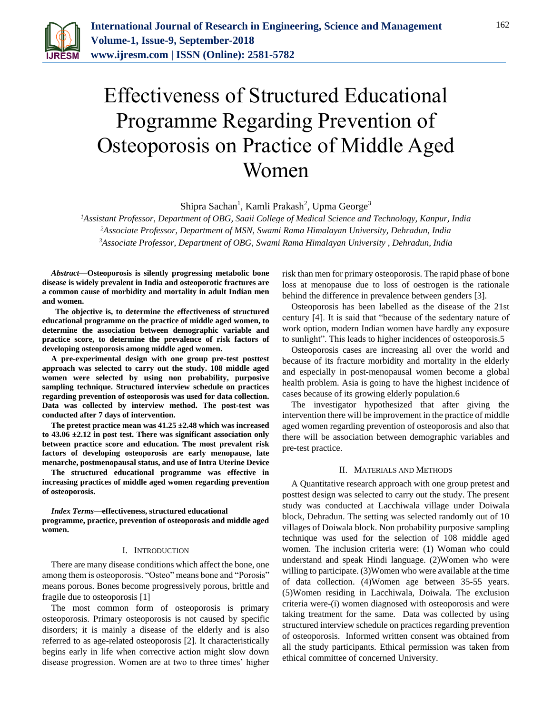

# Effectiveness of Structured Educational Programme Regarding Prevention of Osteoporosis on Practice of Middle Aged Women

Shipra Sachan<sup>1</sup>, Kamli Prakash<sup>2</sup>, Upma George<sup>3</sup>

*<sup>1</sup>Assistant Professor, Department of OBG, Saaii College of Medical Science and Technology, Kanpur, India <sup>2</sup>Associate Professor, Department of MSN, Swami Rama Himalayan University, Dehradun, India 3Associate Professor, Department of OBG, Swami Rama Himalayan University , Dehradun, India*

*Abstract***—Osteoporosis is silently progressing metabolic bone disease is widely prevalent in India and osteoporotic fractures are a common cause of morbidity and mortality in adult Indian men and women.** 

 **The objective is, to determine the effectiveness of structured educational programme on the practice of middle aged women, to determine the association between demographic variable and practice score, to determine the prevalence of risk factors of developing osteoporosis among middle aged women.** 

**A pre-experimental design with one group pre-test posttest approach was selected to carry out the study. 108 middle aged women were selected by using non probability, purposive sampling technique. Structured interview schedule on practices regarding prevention of osteoporosis was used for data collection. Data was collected by interview method. The post-test was conducted after 7 days of intervention.** 

**The pretest practice mean was 41.25 ±2.48 which was increased to 43.06 ±2.12 in post test. There was significant association only between practice score and education. The most prevalent risk factors of developing osteoporosis are early menopause, late menarche, postmenopausal status, and use of Intra Uterine Device** 

**The structured educational programme was effective in increasing practices of middle aged women regarding prevention of osteoporosis.** 

*Index Terms***—effectiveness, structured educational programme, practice, prevention of osteoporosis and middle aged women.** 

# I. INTRODUCTION

There are many disease conditions which affect the bone, one among them is osteoporosis. "Osteo" means bone and "Porosis" means porous. Bones become progressively porous, brittle and fragile due to osteoporosis [1]

The most common form of osteoporosis is primary osteoporosis. Primary osteoporosis is not caused by specific disorders; it is mainly a disease of the elderly and is also referred to as age-related osteoporosis [2]. It characteristically begins early in life when corrective action might slow down disease progression. Women are at two to three times' higher

risk than men for primary osteoporosis. The rapid phase of bone loss at menopause due to loss of oestrogen is the rationale behind the difference in prevalence between genders [3].

Osteoporosis has been labelled as the disease of the 21st century [4]. It is said that "because of the sedentary nature of work option, modern Indian women have hardly any exposure to sunlight". This leads to higher incidences of osteoporosis.5

Osteoporosis cases are increasing all over the world and because of its fracture morbidity and mortality in the elderly and especially in post-menopausal women become a global health problem. Asia is going to have the highest incidence of cases because of its growing elderly population.6

The investigator hypothesized that after giving the intervention there will be improvement in the practice of middle aged women regarding prevention of osteoporosis and also that there will be association between demographic variables and pre-test practice.

## II. MATERIALS AND METHODS

A Quantitative research approach with one group pretest and posttest design was selected to carry out the study. The present study was conducted at Lacchiwala village under Doiwala block, Dehradun. The setting was selected randomly out of 10 villages of Doiwala block. Non probability purposive sampling technique was used for the selection of 108 middle aged women. The inclusion criteria were: (1) Woman who could understand and speak Hindi language. (2)Women who were willing to participate. (3) Women who were available at the time of data collection. (4)Women age between 35-55 years. (5)Women residing in Lacchiwala, Doiwala. The exclusion criteria were-(i) women diagnosed with osteoporosis and were taking treatment for the same. Data was collected by using structured interview schedule on practices regarding prevention of osteoporosis. Informed written consent was obtained from all the study participants. Ethical permission was taken from ethical committee of concerned University.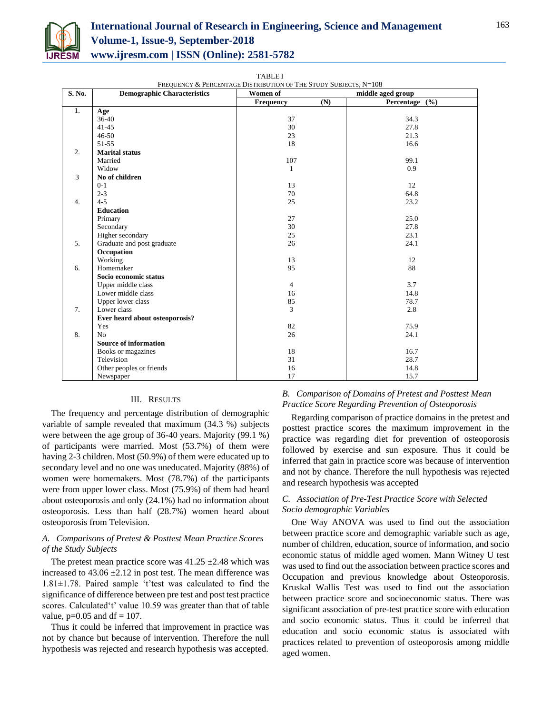

TABLE I

| FREQUENCY & PERCENTAGE DISTRIBUTION OF THE STUDY SUBJECTS, N=108 |                                    |                               |                        |  |  |  |  |
|------------------------------------------------------------------|------------------------------------|-------------------------------|------------------------|--|--|--|--|
| S. No.                                                           | <b>Demographic Characteristics</b> | Women of<br>middle aged group |                        |  |  |  |  |
|                                                                  |                                    | <b>Frequency</b>              | (N)<br>Percentage $(%$ |  |  |  |  |
| 1.                                                               | Age                                |                               |                        |  |  |  |  |
|                                                                  | $36-40$                            | 37                            | 34.3                   |  |  |  |  |
|                                                                  | $41 - 45$                          | 30                            | 27.8                   |  |  |  |  |
|                                                                  | $46 - 50$                          | 23                            | 21.3                   |  |  |  |  |
|                                                                  | 51-55                              | 18                            | 16.6                   |  |  |  |  |
| $\overline{2}$ .                                                 | <b>Marital status</b>              |                               |                        |  |  |  |  |
|                                                                  | Married                            | 107                           | 99.1                   |  |  |  |  |
|                                                                  | Widow                              | $\mathbf{1}$                  | 0.9                    |  |  |  |  |
| 3                                                                | No of children                     |                               |                        |  |  |  |  |
|                                                                  | $0 - 1$                            | 13                            | 12                     |  |  |  |  |
|                                                                  | $2 - 3$                            | 70                            | 64.8                   |  |  |  |  |
| $\overline{4}$ .                                                 | $4 - 5$                            | 25                            | 23.2                   |  |  |  |  |
|                                                                  | <b>Education</b>                   |                               |                        |  |  |  |  |
|                                                                  | Primary                            | 27                            | 25.0                   |  |  |  |  |
|                                                                  | Secondary                          | 30                            | 27.8                   |  |  |  |  |
|                                                                  | Higher secondary                   | 25                            | 23.1                   |  |  |  |  |
| 5.                                                               | Graduate and post graduate         | 26                            | 24.1                   |  |  |  |  |
|                                                                  | Occupation                         |                               |                        |  |  |  |  |
|                                                                  | Working                            | 13                            | 12                     |  |  |  |  |
| 6.                                                               | Homemaker                          | 95                            | 88                     |  |  |  |  |
|                                                                  | Socio economic status              |                               |                        |  |  |  |  |
|                                                                  | Upper middle class                 | $\overline{4}$                | 3.7                    |  |  |  |  |
|                                                                  | Lower middle class                 | 16                            | 14.8                   |  |  |  |  |
|                                                                  | Upper lower class                  | 85                            | 78.7                   |  |  |  |  |
| 7.                                                               | Lower class                        | 3                             | 2.8                    |  |  |  |  |
|                                                                  | Ever heard about osteoporosis?     |                               |                        |  |  |  |  |
|                                                                  | Yes                                | 82                            | 75.9                   |  |  |  |  |
| 8.                                                               | N <sub>o</sub>                     | 26                            | 24.1                   |  |  |  |  |
|                                                                  | <b>Source of information</b>       |                               |                        |  |  |  |  |
|                                                                  | Books or magazines                 | 18                            | 16.7                   |  |  |  |  |
|                                                                  | Television                         | 31                            | 28.7                   |  |  |  |  |
|                                                                  | Other peoples or friends           | 16                            | 14.8                   |  |  |  |  |
|                                                                  | Newspaper                          | 17                            | 15.7                   |  |  |  |  |

### III. RESULTS

The frequency and percentage distribution of demographic variable of sample revealed that maximum (34.3 %) subjects were between the age group of 36-40 years. Majority (99.1 %) of participants were married. Most (53.7%) of them were having 2-3 children. Most (50.9%) of them were educated up to secondary level and no one was uneducated. Majority (88%) of women were homemakers. Most (78.7%) of the participants were from upper lower class. Most (75.9%) of them had heard about osteoporosis and only (24.1%) had no information about osteoporosis. Less than half (28.7%) women heard about osteoporosis from Television.

# *A. Comparisons of Pretest & Posttest Mean Practice Scores of the Study Subjects*

The pretest mean practice score was  $41.25 \pm 2.48$  which was increased to  $43.06 \pm 2.12$  in post test. The mean difference was 1.81±1.78. Paired sample 't'test was calculated to find the significance of difference between pre test and post test practice scores. Calculated't' value 10.59 was greater than that of table value,  $p=0.05$  and  $df = 107$ .

Thus it could be inferred that improvement in practice was not by chance but because of intervention. Therefore the null hypothesis was rejected and research hypothesis was accepted.

# *B. Comparison of Domains of Pretest and Posttest Mean Practice Score Regarding Prevention of Osteoporosis*

Regarding comparison of practice domains in the pretest and posttest practice scores the maximum improvement in the practice was regarding diet for prevention of osteoporosis followed by exercise and sun exposure. Thus it could be inferred that gain in practice score was because of intervention and not by chance. Therefore the null hypothesis was rejected and research hypothesis was accepted

# *C. Association of Pre-Test Practice Score with Selected Socio demographic Variables*

One Way ANOVA was used to find out the association between practice score and demographic variable such as age, number of children, education, source of information, and socio economic status of middle aged women. Mann Witney U test was used to find out the association between practice scores and Occupation and previous knowledge about Osteoporosis. Kruskal Wallis Test was used to find out the association between practice score and socioeconomic status. There was significant association of pre-test practice score with education and socio economic status. Thus it could be inferred that education and socio economic status is associated with practices related to prevention of osteoporosis among middle aged women.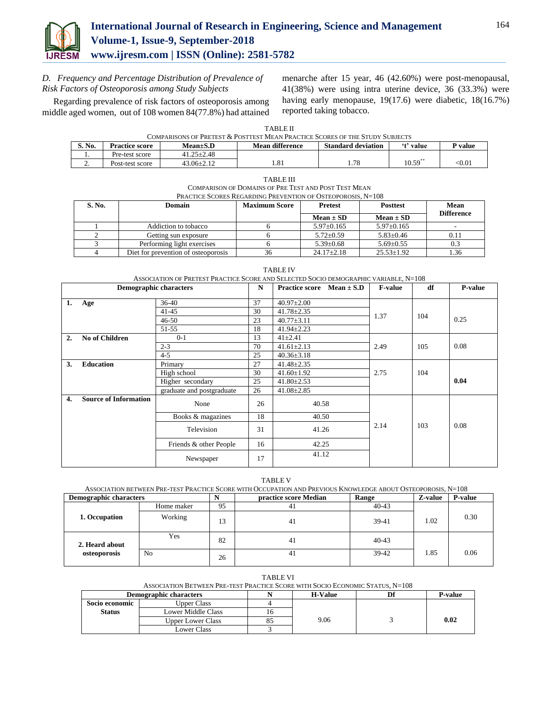

*D. Frequency and Percentage Distribution of Prevalence of Risk Factors of Osteoporosis among Study Subjects*

 Regarding prevalence of risk factors of osteoporosis among middle aged women, out of 108 women 84(77.8%) had attained

menarche after 15 year, 46 (42.60%) were post-menopausal, 41(38%) were using intra uterine device, 36 (33.3%) were having early menopause, 19(17.6) were diabetic, 18(16.7%) reported taking tobacco.

TABLE II

| S. No.   | Practice score  | $Mean \pm S.D$   | Mean difference        | <b>Standard deviation</b> | $^{(4)}$<br>value     | <sup>D</sup> value      |
|----------|-----------------|------------------|------------------------|---------------------------|-----------------------|-------------------------|
|          | Pre-test score  | $41.25 \pm 2.48$ |                        |                           |                       |                         |
| <u>.</u> | Post-test score | $-3.06 \pm 2.12$ | O <sub>1</sub><br>1.01 | 70<br>1.70                | $10.59$ <sup>**</sup> | $< \hspace{-0.2em}0.01$ |

| TABLE III                                                   |
|-------------------------------------------------------------|
| COMPARISON OF DOMAINS OF PRE TEST AND POST TEST MEAN        |
| PRACTICE SCORES REGARDING PREVENTION OF OSTEOPOROSIS, N=108 |

| S. No. | <b>Domain</b>                       | <b>Maximum Score</b> | <b>Pretest</b>   | <b>Posttest</b>  | Mean              |
|--------|-------------------------------------|----------------------|------------------|------------------|-------------------|
|        |                                     |                      | $Mean \pm SD$    | $Mean \pm SD$    | <b>Difference</b> |
|        | Addiction to tobacco                |                      | $5.97 \pm 0.165$ | $5.97 \pm 0.165$ |                   |
|        | Getting sun exposure                |                      | $5.72 \pm 0.59$  | $5.83+0.46$      |                   |
|        | Performing light exercises          |                      | $5.39 \pm 0.68$  | $5.69 + 0.55$    | 0.3               |
|        | Diet for prevention of osteoporosis | 36                   | $24.17 \pm 2.18$ | $25.53 \pm 1.92$ | l.36              |

TABLE IV ASSOCIATION OF PRETEST PRACTICE SCORE AND SELECTED SOCIO DEMOGRAPHIC VARIABLE, N=108

| <b>Demographic characters</b> |                              |                           | N     | Practice score Mean $\pm$ S.D | <b>F-value</b> | df   | P-value |
|-------------------------------|------------------------------|---------------------------|-------|-------------------------------|----------------|------|---------|
| 1.                            | Age                          | $36 - 40$                 | 37    | $40.97 \pm 2.00$              |                |      |         |
|                               |                              | $41 - 45$                 | 30    | $41.78 \pm 2.35$              | 1.37           | 104  |         |
|                               |                              | $46 - 50$                 | 23    | $40.77 \pm 3.11$              |                |      | 0.25    |
|                               |                              | 51-55                     | 18    | $41.94 \pm 2.23$              |                |      |         |
| $\overline{2}$ .              | <b>No of Children</b>        | $0 - 1$                   | 13    | $41 \pm 2.41$                 |                |      |         |
|                               |                              | $2 - 3$                   | 70    | $41.61 \pm 2.13$              | 2.49           | 105  | 0.08    |
|                               |                              | $4 - 5$                   | 25    | $40.36 \pm 3.18$              |                |      |         |
| 3.                            | <b>Education</b>             | Primary                   | 27    | $41.48 \pm 2.35$              |                |      |         |
|                               |                              | High school               | 30    | $41.60 \pm 1.92$              | 2.75           | 104  |         |
|                               |                              | Higher secondary          | 25    | $41.80 \pm 2.53$              |                |      | 0.04    |
|                               |                              | graduate and postgraduate | 26    | $41.08 \pm 2.85$              |                |      |         |
| 4.                            | <b>Source of Information</b> | None                      | 26    | 40.58                         |                |      |         |
| Books & magazines             |                              | 18                        | 40.50 |                               |                |      |         |
| Television                    |                              | 31                        | 41.26 | 2.14                          | 103            | 0.08 |         |
| Friends & other People        |                              | 16                        | 42.25 |                               |                |      |         |
|                               |                              | Newspaper                 | 17    | 41.12                         |                |      |         |

TABLE V

ASSOCIATION BETWEEN PRE-TEST PRACTICE SCORE WITH OCCUPATION AND PREVIOUS KNOWLEDGE ABOUT OSTEOPOROSIS, N=108

| <b>Demographic characters</b> |                | N  | practice score Median | Range     | Z-value | P-value |
|-------------------------------|----------------|----|-----------------------|-----------|---------|---------|
|                               | Home maker     | 95 | 41                    | $40 - 43$ |         |         |
| 1. Occupation                 | Working        | 13 | 41                    | $39-41$   | 1.02    | 0.30    |
| 2. Heard about                | Yes            | 82 | 41                    | $40 - 43$ |         |         |
| osteoporosis                  | N <sub>0</sub> | 26 | 41                    | $39-42$   | 1.85    | 0.06    |

| <b>TABLE VI</b>                                                               |                          |  |      |  |      |  |  |
|-------------------------------------------------------------------------------|--------------------------|--|------|--|------|--|--|
| ASSOCIATION BETWEEN PRE-TEST PRACTICE SCORE WITH SOCIO ECONOMIC STATUS, N=108 |                          |  |      |  |      |  |  |
| <b>P-value</b><br><b>H-Value</b><br>Demographic characters                    |                          |  |      |  |      |  |  |
| Socio economic                                                                | <b>Upper Class</b>       |  |      |  |      |  |  |
| <b>Status</b>                                                                 | Lower Middle Class       |  |      |  |      |  |  |
|                                                                               | <b>Upper Lower Class</b> |  | 9.06 |  | 0.02 |  |  |
|                                                                               | <b>Lower Class</b>       |  |      |  |      |  |  |

164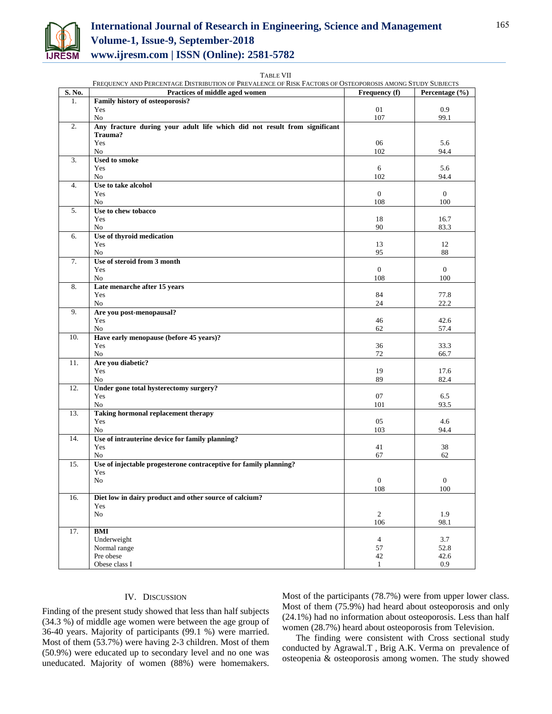

# **International Journal of Research in Engineering, Science and Management Volume-1, Issue-9, September-2018 www.ijresm.com | ISSN (Online): 2581-5782**

TABLE VII

|        | FREQUENCY AND PERCENTAGE DISTRIBUTION OF PREVALENCE OF RISK FACTORS OF OSTEOPOROSIS AMONG STUDY SUBJECTS |                  |                  |
|--------|----------------------------------------------------------------------------------------------------------|------------------|------------------|
| S. No. | Practices of middle aged women                                                                           | Frequency (f)    | Percentage (%)   |
| 1.     | Family history of osteoporosis?                                                                          |                  |                  |
|        | Yes                                                                                                      | 01               | 0.9              |
|        | No                                                                                                       | 107              | 99.1             |
| 2.     | Any fracture during your adult life which did not result from significant                                |                  |                  |
|        | Trauma?                                                                                                  |                  |                  |
|        | Yes                                                                                                      | 06               | 5.6              |
|        | No                                                                                                       | 102              | 94.4             |
| 3.     | <b>Used to smoke</b>                                                                                     |                  |                  |
|        | Yes                                                                                                      | 6                | 5.6              |
|        | N <sub>0</sub>                                                                                           | 102              | 94.4             |
| 4.     | Use to take alcohol<br>Yes                                                                               | $\boldsymbol{0}$ | $\mathbf{0}$     |
|        |                                                                                                          | 108              | 100              |
|        | No<br>Use to chew tobacco                                                                                |                  |                  |
| 5.     | Yes                                                                                                      | 18               | 16.7             |
|        | No                                                                                                       | 90               | 83.3             |
| 6.     | Use of thyroid medication                                                                                |                  |                  |
|        | Yes                                                                                                      | 13               | 12               |
|        | No                                                                                                       | 95               | 88               |
| 7.     | Use of steroid from 3 month                                                                              |                  |                  |
|        | Yes                                                                                                      | $\mathbf{0}$     | $\mathbf{0}$     |
|        | No                                                                                                       | 108              | 100              |
| 8.     | Late menarche after 15 years                                                                             |                  |                  |
|        | Yes                                                                                                      | 84               | 77.8             |
|        | No                                                                                                       | 24               | 22.2             |
| 9.     | Are you post-menopausal?                                                                                 |                  |                  |
|        | Yes                                                                                                      | 46               | 42.6             |
|        | No                                                                                                       | 62               | 57.4             |
| 10.    | Have early menopause (before 45 years)?                                                                  |                  |                  |
|        | Yes                                                                                                      | 36               | 33.3             |
|        | No                                                                                                       | 72               | 66.7             |
| 11.    | Are you diabetic?                                                                                        |                  |                  |
|        | Yes                                                                                                      | 19               | 17.6             |
|        | No                                                                                                       | 89               | 82.4             |
| 12.    | Under gone total hysterectomy surgery?                                                                   |                  |                  |
|        | Yes                                                                                                      | 07               | 6.5              |
|        | No                                                                                                       | 101              | 93.5             |
| 13.    | Taking hormonal replacement therapy                                                                      |                  |                  |
|        | Yes                                                                                                      | 05               | 4.6              |
|        | No                                                                                                       | 103              | 94.4             |
| 14.    | Use of intrauterine device for family planning?                                                          |                  |                  |
|        | Yes                                                                                                      | 41<br>67         | 38<br>62         |
| 15.    | No<br>Use of injectable progesterone contraceptive for family planning?                                  |                  |                  |
|        | Yes                                                                                                      |                  |                  |
|        | No                                                                                                       | $\boldsymbol{0}$ | $\boldsymbol{0}$ |
|        |                                                                                                          | 108              | 100              |
| 16.    | Diet low in dairy product and other source of calcium?                                                   |                  |                  |
|        | Yes                                                                                                      |                  |                  |
|        | No                                                                                                       | $\sqrt{2}$       | 1.9              |
|        |                                                                                                          | 106              | 98.1             |
| 17.    | <b>BMI</b>                                                                                               |                  |                  |
|        | Underweight                                                                                              | $\overline{4}$   | 3.7              |
|        | Normal range                                                                                             | 57               | 52.8             |
|        | Pre obese                                                                                                | 42               | 42.6             |
|        | Obese class I                                                                                            | $\mathbf{1}$     | 0.9              |
|        |                                                                                                          |                  |                  |

### FREQUENCY AND PERCENTAGE DISTRIBUTION OF PREVALENCE OF RISK FACTORS OF OSTEOPOROSIS AMONG STUDY SUBJECTS

### IV. DISCUSSION

Finding of the present study showed that less than half subjects (34.3 %) of middle age women were between the age group of 36-40 years. Majority of participants (99.1 %) were married. Most of them (53.7%) were having 2-3 children. Most of them (50.9%) were educated up to secondary level and no one was uneducated. Majority of women (88%) were homemakers.

Most of the participants (78.7%) were from upper lower class. Most of them (75.9%) had heard about osteoporosis and only (24.1%) had no information about osteoporosis. Less than half women (28.7%) heard about osteoporosis from Television.

 The finding were consistent with Cross sectional study conducted by Agrawal.T , Brig A.K. Verma on prevalence of osteopenia & osteoporosis among women. The study showed